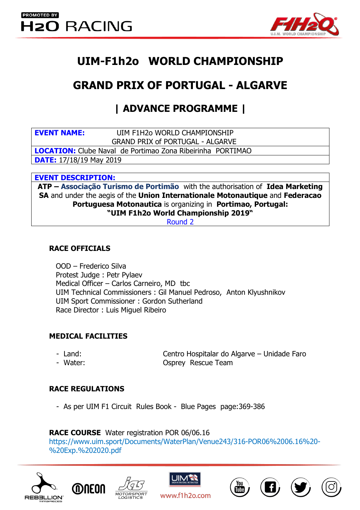

# **UIM-F1h2o WORLD CHAMPIONSHIP**

# **GRAND PRIX OF PORTUGAL - ALGARVE**

## **| ADVANCE PROGRAMME |**

| <b>EVENT NAME:</b> | UIM F1H2o WORLD CHAMPIONSHIP |
|--------------------|------------------------------|
|                    |                              |

GRAND PRIX of PORTUGAL - ALGARVE

**LOCATION:** Clube Naval de Portimao Zona Ribeirinha PORTIMAO

**DATE:** 17/18/19 May 2019

#### **EVENT DESCRIPTION:**

**ATP – Associação Turismo de Portimão** with the authorisation of **Idea Marketing SA** and under the aegis of the **Union Internationale Motonautique** and **Federacao Portuguesa Motonautica** is organizing in **Portimao, Portugal: "UIM F1h2o World Championship 2019"** 

Round 2

#### **RACE OFFICIALS**

OOD – Frederico Silva Protest Judge : Petr Pylaev Medical Officer – Carlos Carneiro, MD tbc UIM Technical Commissioners : Gil Manuel Pedroso, Anton Klyushnikov UIM Sport Commissioner : Gordon Sutherland Race Director : Luis Miguel Ribeiro

## **MEDICAL FACILITIES**

- 
- 

- Land: Centro Hospitalar do Algarve – Unidade Faro - Water: Osprey Rescue Team

## **RACE REGULATIONS**

- As per UIM F1 Circuit Rules Book - Blue Pages page:369-386

## **RACE COURSE** Water registration POR 06/06.16

https://www.uim.sport/Documents/WaterPlan/Venue243/316-POR06%2006.16%20- %20Exp.%202020.pdf







www.f1h2o.com





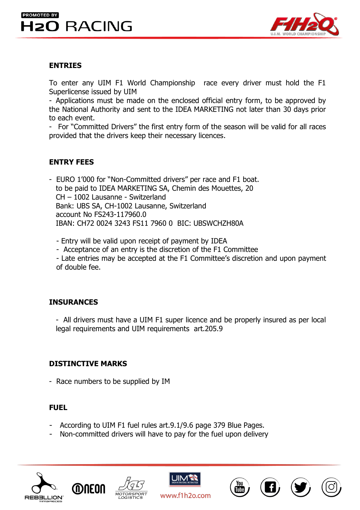## **PROMOTED BY H2O RACING**



#### **ENTRIES**

To enter any UIM F1 World Championship race every driver must hold the F1 Superlicense issued by UIM

- Applications must be made on the enclosed official entry form, to be approved by the National Authority and sent to the IDEA MARKETING not later than 30 days prior to each event.

- For "Committed Drivers" the first entry form of the season will be valid for all races provided that the drivers keep their necessary licences.

## **ENTRY FEES**

- EURO 1'000 for "Non-Committed drivers" per race and F1 boat. to be paid to IDEA MARKETING SA, Chemin des Mouettes, 20 CH – 1002 Lausanne - Switzerland Bank: UBS SA, CH-1002 Lausanne, Switzerland account No FS243-117960.0 IBAN: CH72 0024 3243 FS11 7960 0 BIC: UBSWCHZH80A

- Entry will be valid upon receipt of payment by IDEA

- Acceptance of an entry is the discretion of the F1 Committee

- Late entries may be accepted at the F1 Committee's discretion and upon payment of double fee.

## **INSURANCES**

- All drivers must have a UIM F1 super licence and be properly insured as per local legal requirements and UIM requirements art.205.9

## **DISTINCTIVE MARKS**

- Race numbers to be supplied by IM

#### **FUEL**

- According to UIM F1 fuel rules art.9.1/9.6 page 379 Blue Pages.
- Non-committed drivers will have to pay for the fuel upon delivery







www.f1h2o.com

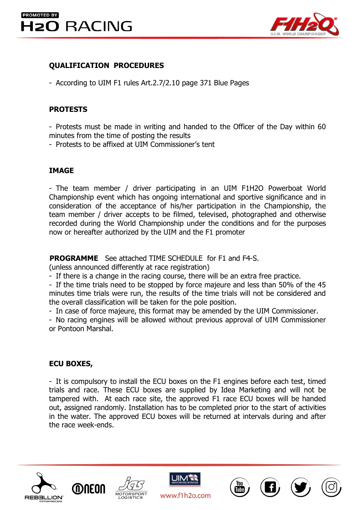

## **QUALIFICATION PROCEDURES**

- According to UIM F1 rules Art.2.7/2.10 page 371 Blue Pages

## **PROTESTS**

- Protests must be made in writing and handed to the Officer of the Day within 60 minutes from the time of posting the results

- Protests to be affixed at UIM Commissioner's tent

## **IMAGE**

- The team member / driver participating in an UIM F1H2O Powerboat World Championship event which has ongoing international and sportive significance and in consideration of the acceptance of his/her participation in the Championship, the team member / driver accepts to be filmed, televised, photographed and otherwise recorded during the World Championship under the conditions and for the purposes now or hereafter authorized by the UIM and the F1 promoter

 **PROGRAMME** See attached TIME SCHEDULE for F1 and F4-S.

(unless announced differently at race registration)

- If there is a change in the racing course, there will be an extra free practice.

- If the time trials need to be stopped by force majeure and less than 50% of the 45 minutes time trials were run, the results of the time trials will not be considered and the overall classification will be taken for the pole position.

- In case of force majeure, this format may be amended by the UIM Commissioner.

- No racing engines will be allowed without previous approval of UIM Commissioner or Pontoon Marshal.

## **ECU BOXES,**

- It is compulsory to install the ECU boxes on the F1 engines before each test, timed trials and race. These ECU boxes are supplied by Idea Marketing and will not be tampered with. At each race site, the approved F1 race ECU boxes will be handed out, assigned randomly. Installation has to be completed prior to the start of activities in the water. The approved ECU boxes will be returned at intervals during and after the race week-ends.







www.f1h2o.com





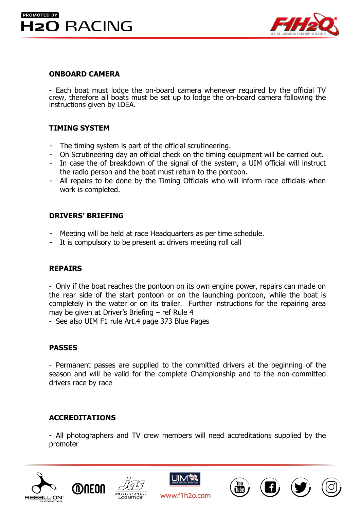



#### **ONBOARD CAMERA**

- Each boat must lodge the on-board camera whenever required by the official TV crew, therefore all boats must be set up to lodge the on-board camera following the instructions given by IDEA.

#### **TIMING SYSTEM**

- The timing system is part of the official scrutineering.
- On Scrutineering day an official check on the timing equipment will be carried out.
- In case the of breakdown of the signal of the system, a UIM official will instruct the radio person and the boat must return to the pontoon.
- All repairs to be done by the Timing Officials who will inform race officials when work is completed.

#### **DRIVERS' BRIEFING**

- Meeting will be held at race Headquarters as per time schedule.
- It is compulsory to be present at drivers meeting roll call

#### **REPAIRS**

- Only if the boat reaches the pontoon on its own engine power, repairs can made on the rear side of the start pontoon or on the launching pontoon, while the boat is completely in the water or on its trailer. Further instructions for the repairing area may be given at Driver's Briefing – ref Rule 4

- See also UIM F1 rule Art.4 page 373 Blue Pages

#### **PASSES**

- Permanent passes are supplied to the committed drivers at the beginning of the season and will be valid for the complete Championship and to the non-committed drivers race by race

## **ACCREDITATIONS**

- All photographers and TV crew members will need accreditations supplied by the promoter